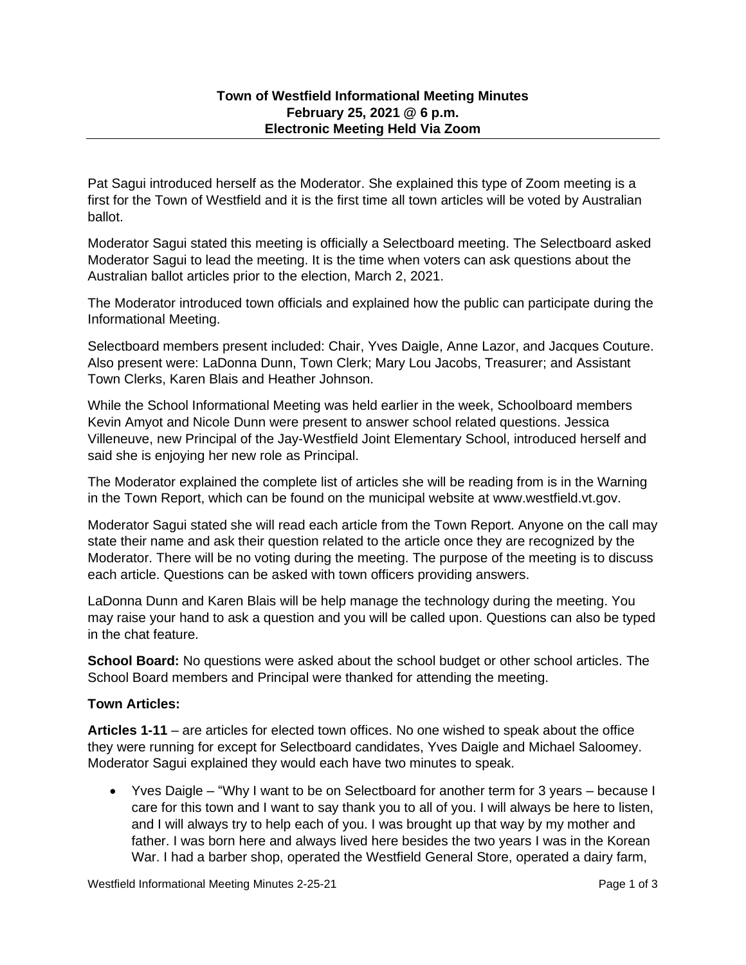Pat Sagui introduced herself as the Moderator. She explained this type of Zoom meeting is a first for the Town of Westfield and it is the first time all town articles will be voted by Australian ballot.

Moderator Sagui stated this meeting is officially a Selectboard meeting. The Selectboard asked Moderator Sagui to lead the meeting. It is the time when voters can ask questions about the Australian ballot articles prior to the election, March 2, 2021.

The Moderator introduced town officials and explained how the public can participate during the Informational Meeting.

Selectboard members present included: Chair, Yves Daigle, Anne Lazor, and Jacques Couture. Also present were: LaDonna Dunn, Town Clerk; Mary Lou Jacobs, Treasurer; and Assistant Town Clerks, Karen Blais and Heather Johnson.

While the School Informational Meeting was held earlier in the week, Schoolboard members Kevin Amyot and Nicole Dunn were present to answer school related questions. Jessica Villeneuve, new Principal of the Jay-Westfield Joint Elementary School, introduced herself and said she is enjoying her new role as Principal.

The Moderator explained the complete list of articles she will be reading from is in the Warning in the Town Report, which can be found on the municipal website at www.westfield.vt.gov.

Moderator Sagui stated she will read each article from the Town Report. Anyone on the call may state their name and ask their question related to the article once they are recognized by the Moderator. There will be no voting during the meeting. The purpose of the meeting is to discuss each article. Questions can be asked with town officers providing answers.

LaDonna Dunn and Karen Blais will be help manage the technology during the meeting. You may raise your hand to ask a question and you will be called upon. Questions can also be typed in the chat feature.

**School Board:** No questions were asked about the school budget or other school articles. The School Board members and Principal were thanked for attending the meeting.

## **Town Articles:**

**Articles 1-11** – are articles for elected town offices. No one wished to speak about the office they were running for except for Selectboard candidates, Yves Daigle and Michael Saloomey. Moderator Sagui explained they would each have two minutes to speak.

• Yves Daigle – "Why I want to be on Selectboard for another term for 3 years – because I care for this town and I want to say thank you to all of you. I will always be here to listen, and I will always try to help each of you. I was brought up that way by my mother and father. I was born here and always lived here besides the two years I was in the Korean War. I had a barber shop, operated the Westfield General Store, operated a dairy farm,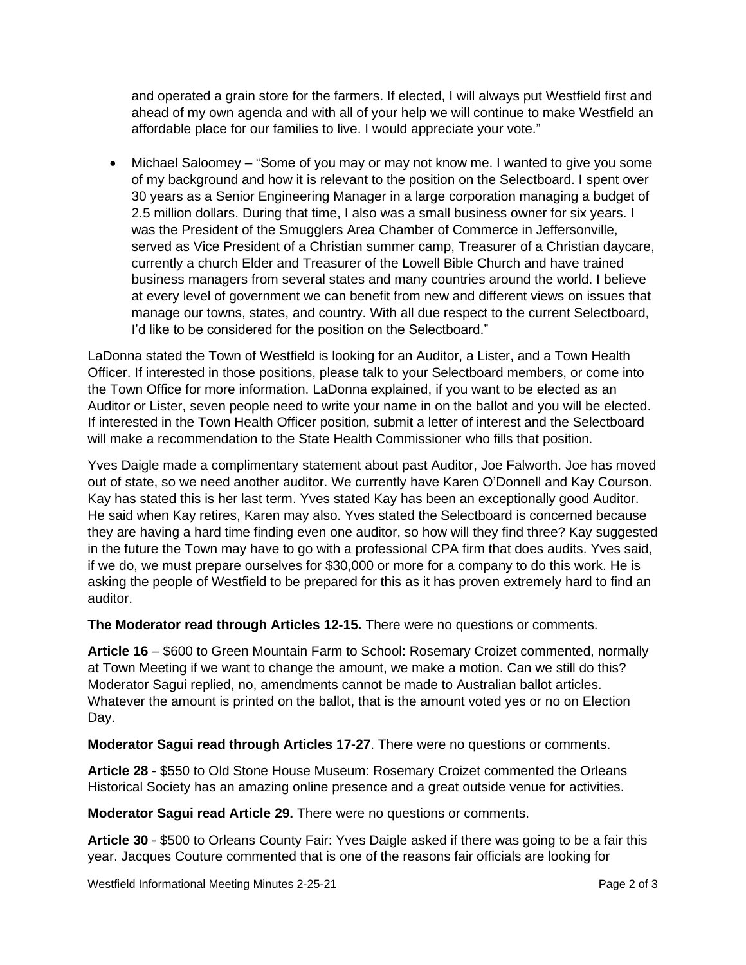and operated a grain store for the farmers. If elected, I will always put Westfield first and ahead of my own agenda and with all of your help we will continue to make Westfield an affordable place for our families to live. I would appreciate your vote."

• Michael Saloomey – "Some of you may or may not know me. I wanted to give you some of my background and how it is relevant to the position on the Selectboard. I spent over 30 years as a Senior Engineering Manager in a large corporation managing a budget of 2.5 million dollars. During that time, I also was a small business owner for six years. I was the President of the Smugglers Area Chamber of Commerce in Jeffersonville, served as Vice President of a Christian summer camp, Treasurer of a Christian daycare, currently a church Elder and Treasurer of the Lowell Bible Church and have trained business managers from several states and many countries around the world. I believe at every level of government we can benefit from new and different views on issues that manage our towns, states, and country. With all due respect to the current Selectboard, I'd like to be considered for the position on the Selectboard."

LaDonna stated the Town of Westfield is looking for an Auditor, a Lister, and a Town Health Officer. If interested in those positions, please talk to your Selectboard members, or come into the Town Office for more information. LaDonna explained, if you want to be elected as an Auditor or Lister, seven people need to write your name in on the ballot and you will be elected. If interested in the Town Health Officer position, submit a letter of interest and the Selectboard will make a recommendation to the State Health Commissioner who fills that position.

Yves Daigle made a complimentary statement about past Auditor, Joe Falworth. Joe has moved out of state, so we need another auditor. We currently have Karen O'Donnell and Kay Courson. Kay has stated this is her last term. Yves stated Kay has been an exceptionally good Auditor. He said when Kay retires, Karen may also. Yves stated the Selectboard is concerned because they are having a hard time finding even one auditor, so how will they find three? Kay suggested in the future the Town may have to go with a professional CPA firm that does audits. Yves said, if we do, we must prepare ourselves for \$30,000 or more for a company to do this work. He is asking the people of Westfield to be prepared for this as it has proven extremely hard to find an auditor.

**The Moderator read through Articles 12-15.** There were no questions or comments.

**Article 16** – \$600 to Green Mountain Farm to School: Rosemary Croizet commented, normally at Town Meeting if we want to change the amount, we make a motion. Can we still do this? Moderator Sagui replied, no, amendments cannot be made to Australian ballot articles. Whatever the amount is printed on the ballot, that is the amount voted yes or no on Election Day.

**Moderator Sagui read through Articles 17-27**. There were no questions or comments.

**Article 28** - \$550 to Old Stone House Museum: Rosemary Croizet commented the Orleans Historical Society has an amazing online presence and a great outside venue for activities.

**Moderator Sagui read Article 29.** There were no questions or comments.

**Article 30** - \$500 to Orleans County Fair: Yves Daigle asked if there was going to be a fair this year. Jacques Couture commented that is one of the reasons fair officials are looking for